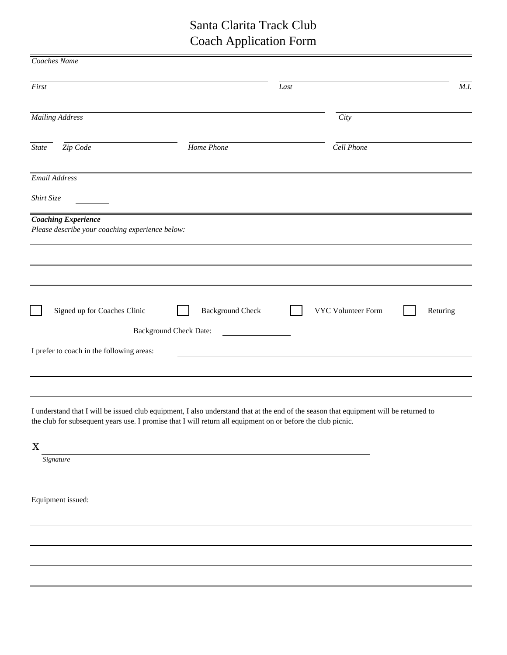## Santa Clarita Track Club Coach Application Form

| Coaches Name                                                                  |                               |      |                    |          |
|-------------------------------------------------------------------------------|-------------------------------|------|--------------------|----------|
| First                                                                         |                               | Last |                    | M.I.     |
| <b>Mailing Address</b>                                                        |                               |      | City               |          |
| Zip Code<br>State                                                             | Home Phone                    |      | Cell Phone         |          |
| Email Address                                                                 |                               |      |                    |          |
| Shirt Size                                                                    |                               |      |                    |          |
| <b>Coaching Experience</b><br>Please describe your coaching experience below: |                               |      |                    |          |
|                                                                               |                               |      |                    |          |
| Signed up for Coaches Clinic                                                  | <b>Background Check</b>       |      | VYC Volunteer Form | Returing |
| I prefer to coach in the following areas:                                     | <b>Background Check Date:</b> |      |                    |          |
|                                                                               |                               |      |                    |          |

I understand that I will be issued club equipment, I also understand that at the end of the season that equipment will be returned to the club for subsequent years use. I promise that I will return all equipment on or before the club picnic.

x

*Signature*

Equipment issued: